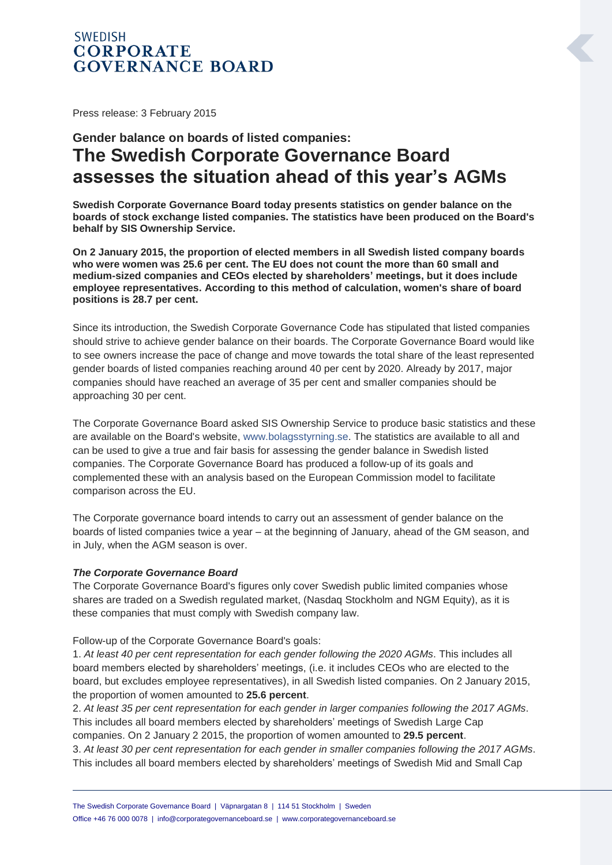# **SWEDISH CORPORATE GOVERNANCE BOARD**

Press release: 3 February 2015

# **Gender balance on boards of listed companies: The Swedish Corporate Governance Board assesses the situation ahead of this year's AGMs**

**Swedish Corporate Governance Board today presents statistics on gender balance on the boards of stock exchange listed companies. The statistics have been produced on the Board's behalf by SIS Ownership Service.**

**On 2 January 2015, the proportion of elected members in all Swedish listed company boards who were women was 25.6 per cent. The EU does not count the more than 60 small and medium-sized companies and CEOs elected by shareholders' meetings, but it does include employee representatives. According to this method of calculation, women's share of board positions is 28.7 per cent.**

Since its introduction, the Swedish Corporate Governance Code has stipulated that listed companies should strive to achieve gender balance on their boards. The Corporate Governance Board would like to see owners increase the pace of change and move towards the total share of the least represented gender boards of listed companies reaching around 40 per cent by 2020. Already by 2017, major companies should have reached an average of 35 per cent and smaller companies should be approaching 30 per cent.

The Corporate Governance Board asked SIS Ownership Service to produce basic statistics and these are available on the Board's website, [www.bolagsstyrning.se.](http://www.bolagsstyrning.se/) The statistics are available to all and can be used to give a true and fair basis for assessing the gender balance in Swedish listed companies. The Corporate Governance Board has produced a follow-up of its goals and complemented these with an analysis based on the European Commission model to facilitate comparison across the EU.

The Corporate governance board intends to carry out an assessment of gender balance on the boards of listed companies twice a year – at the beginning of January, ahead of the GM season, and in July, when the AGM season is over.

#### *The Corporate Governance Board*

The Corporate Governance Board's figures only cover Swedish public limited companies whose shares are traded on a Swedish regulated market, (Nasdaq Stockholm and NGM Equity), as it is these companies that must comply with Swedish company law.

Follow-up of the Corporate Governance Board's goals:

1. *At least 40 per cent representation for each gender following the 2020 AGMs*. This includes all board members elected by shareholders' meetings, (i.e. it includes CEOs who are elected to the board, but excludes employee representatives), in all Swedish listed companies. On 2 January 2015, the proportion of women amounted to **25.6 percent**.

2. *At least 35 per cent representation for each gender in larger companies following the 2017 AGMs*. This includes all board members elected by shareholders' meetings of Swedish Large Cap companies. On 2 January 2 2015, the proportion of women amounted to **29.5 percent**.

3. *At least 30 per cent representation for each gender in smaller companies following the 2017 AGMs*. This includes all board members elected by shareholders' meetings of Swedish Mid and Small Cap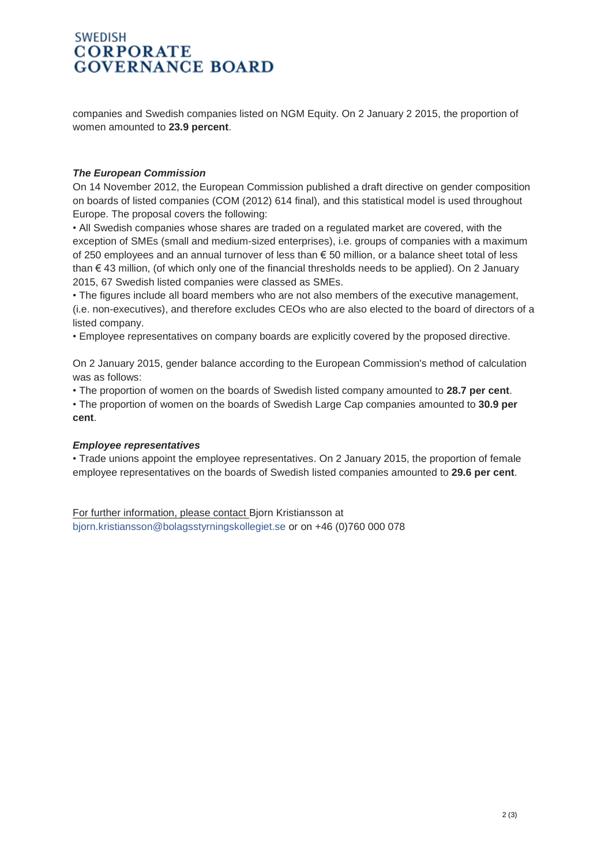## **SWEDISH CORPORATE GOVERNANCE BOARD**

companies and Swedish companies listed on NGM Equity. On 2 January 2 2015, the proportion of women amounted to **23.9 percent**.

#### *The European Commission*

On 14 November 2012, the European Commission published a draft directive on gender composition on boards of listed companies (COM (2012) 614 final), and this statistical model is used throughout Europe. The proposal covers the following:

• All Swedish companies whose shares are traded on a regulated market are covered, with the exception of SMEs (small and medium-sized enterprises), i.e. groups of companies with a maximum of 250 employees and an annual turnover of less than € 50 million, or a balance sheet total of less than € 43 million, (of which only one of the financial thresholds needs to be applied). On 2 January 2015, 67 Swedish listed companies were classed as SMEs.

• The figures include all board members who are not also members of the executive management, (i.e. non-executives), and therefore excludes CEOs who are also elected to the board of directors of a listed company.

• Employee representatives on company boards are explicitly covered by the proposed directive.

On 2 January 2015, gender balance according to the European Commission's method of calculation was as follows:

• The proportion of women on the boards of Swedish listed company amounted to **28.7 per cent**.

• The proportion of women on the boards of Swedish Large Cap companies amounted to **30.9 per cent**.

#### *Employee representatives*

• Trade unions appoint the employee representatives. On 2 January 2015, the proportion of female employee representatives on the boards of Swedish listed companies amounted to **29.6 per cent**.

For further information, please contact Bjorn Kristiansson at [bjorn.kristiansson@bolagsstyrningskollegiet.se](mailto:bjorn.kristiansson@bolagsstyrningskollegiet.se) or on +46 (0)760 000 078